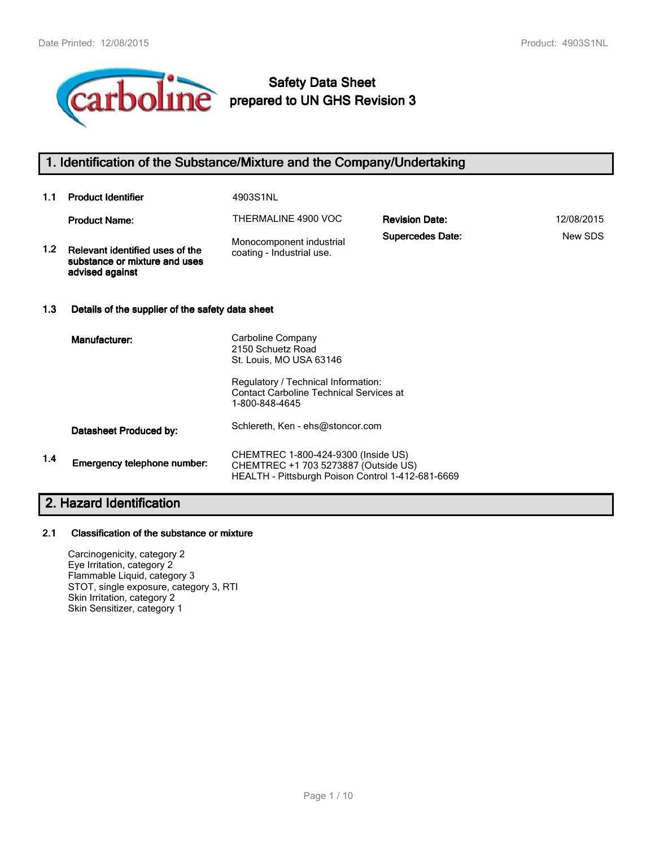

# **Safety Data Sheet prepared to UN GHS Revision 3**

# **1. Identification of the Substance/Mixture and the Company/Undertaking**

| 1.1              | <b>Product Identifier</b>                                                           | 4903S1NL                                                                                                                         |                         |            |  |
|------------------|-------------------------------------------------------------------------------------|----------------------------------------------------------------------------------------------------------------------------------|-------------------------|------------|--|
|                  | <b>Product Name:</b>                                                                | THERMALINE 4900 VOC                                                                                                              | <b>Revision Date:</b>   | 12/08/2015 |  |
| 1.2 <sub>1</sub> | Relevant identified uses of the<br>substance or mixture and uses<br>advised against | Monocomponent industrial<br>coating - Industrial use.                                                                            | <b>Supercedes Date:</b> | New SDS    |  |
| 1.3              | Details of the supplier of the safety data sheet                                    |                                                                                                                                  |                         |            |  |
|                  | Manufacturer:                                                                       | Carboline Company<br>2150 Schuetz Road<br>St. Louis, MO USA 63146                                                                |                         |            |  |
|                  |                                                                                     | Regulatory / Technical Information:<br><b>Contact Carboline Technical Services at</b><br>1-800-848-4645                          |                         |            |  |
|                  | Datasheet Produced by:                                                              | Schlereth, Ken - ehs@stoncor.com                                                                                                 |                         |            |  |
| 1.4              | Emergency telephone number:                                                         | CHEMTREC 1-800-424-9300 (Inside US)<br>CHEMTREC +1 703 5273887 (Outside US)<br>HEALTH - Pittsburgh Poison Control 1-412-681-6669 |                         |            |  |

# **2. Hazard Identification**

#### **2.1 Classification of the substance or mixture**

Carcinogenicity, category 2 Eye Irritation, category 2 Flammable Liquid, category 3 STOT, single exposure, category 3, RTI Skin Irritation, category 2 Skin Sensitizer, category 1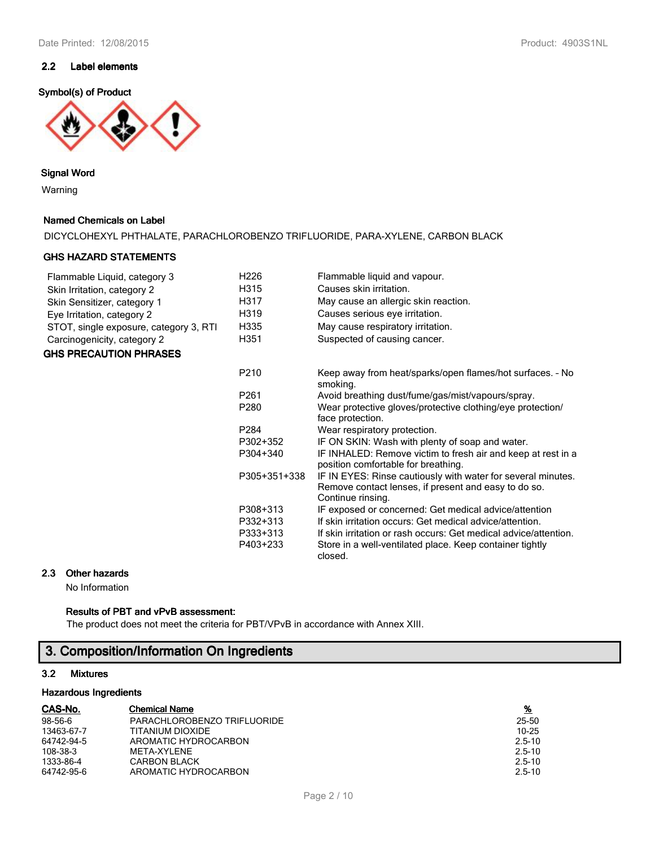#### **2.2 Label elements**

#### **Symbol(s) of Product**



#### **Signal Word**

Warning

#### **Named Chemicals on Label**

DICYCLOHEXYL PHTHALATE, PARACHLOROBENZO TRIFLUORIDE, PARA-XYLENE, CARBON BLACK

#### **GHS HAZARD STATEMENTS**

| Flammable Liquid, category 3           | H <sub>226</sub> | Flammable liquid and vapour.                                                                                                              |
|----------------------------------------|------------------|-------------------------------------------------------------------------------------------------------------------------------------------|
| Skin Irritation, category 2            | H315             | Causes skin irritation.                                                                                                                   |
| Skin Sensitizer, category 1            | H317             | May cause an allergic skin reaction.                                                                                                      |
| Eye Irritation, category 2             | H319             | Causes serious eye irritation.                                                                                                            |
| STOT, single exposure, category 3, RTI | H335             | May cause respiratory irritation.                                                                                                         |
| Carcinogenicity, category 2            | H351             | Suspected of causing cancer.                                                                                                              |
| <b>GHS PRECAUTION PHRASES</b>          |                  |                                                                                                                                           |
|                                        | P <sub>210</sub> | Keep away from heat/sparks/open flames/hot surfaces. - No<br>smoking.                                                                     |
|                                        | P <sub>261</sub> | Avoid breathing dust/fume/gas/mist/vapours/spray.                                                                                         |
|                                        | P280             | Wear protective gloves/protective clothing/eye protection/                                                                                |
|                                        |                  | face protection.                                                                                                                          |
|                                        | P284             | Wear respiratory protection.                                                                                                              |
|                                        | P302+352         | IF ON SKIN: Wash with plenty of soap and water.                                                                                           |
|                                        | P304+340         | IF INHALED: Remove victim to fresh air and keep at rest in a<br>position comfortable for breathing.                                       |
|                                        | P305+351+338     | IF IN EYES: Rinse cautiously with water for several minutes.<br>Remove contact lenses, if present and easy to do so.<br>Continue rinsing. |
|                                        | P308+313         | IF exposed or concerned: Get medical advice/attention                                                                                     |
|                                        | P332+313         | If skin irritation occurs: Get medical advice/attention.                                                                                  |
|                                        | P333+313         | If skin irritation or rash occurs: Get medical advice/attention.                                                                          |
|                                        | P403+233         | Store in a well-ventilated place. Keep container tightly<br>closed.                                                                       |

#### **2.3 Other hazards**

No Information

# **Results of PBT and vPvB assessment:**

The product does not meet the criteria for PBT/VPvB in accordance with Annex XIII.

# **3. Composition/Information On Ingredients**

#### **3.2 Mixtures**

#### **Hazardous Ingredients**

| CAS-No.    | <b>Chemical Name</b>        | <u>%</u>   |
|------------|-----------------------------|------------|
| 98-56-6    | PARACHLOROBENZO TRIFLUORIDE | 25-50      |
| 13463-67-7 | TITANIUM DIOXIDE            | 10-25      |
| 64742-94-5 | AROMATIC HYDROCARBON        | $2.5 - 10$ |
| 108-38-3   | MFTA-XYI FNF                | $2.5 - 10$ |
| 1333-86-4  | <b>CARBON BLACK</b>         | $2.5 - 10$ |
| 64742-95-6 | AROMATIC HYDROCARBON        | $2.5 - 10$ |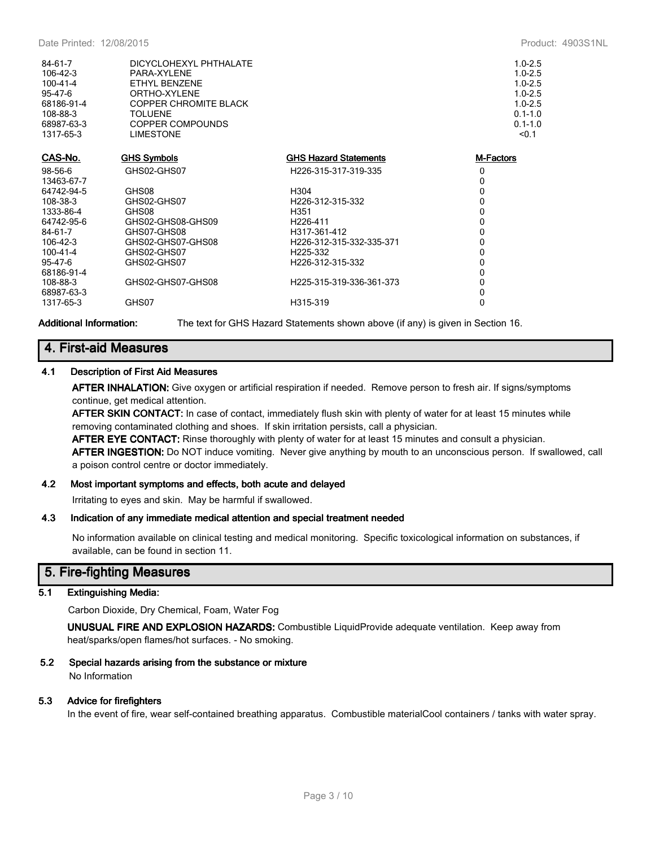| 84-61-7<br>106-42-3<br>$100 - 41 - 4$<br>95-47-6<br>68186-91-4<br>108-88-3<br>68987-63-3<br>1317-65-3 | DICYCLOHEXYL PHTHALATE<br>PARA-XYLENE<br>ETHYL BENZENE<br>ORTHO-XYLENE<br><b>COPPER CHROMITE BLACK</b><br><b>TOLUENE</b><br>COPPER COMPOUNDS<br><b>LIMESTONE</b> |                              | $1.0 - 2.5$<br>$1.0 - 2.5$<br>$1.0 - 2.5$<br>$1.0 - 2.5$<br>$1.0 - 2.5$<br>$0.1 - 1.0$<br>$0.1 - 1.0$<br>< 0.1 |
|-------------------------------------------------------------------------------------------------------|------------------------------------------------------------------------------------------------------------------------------------------------------------------|------------------------------|----------------------------------------------------------------------------------------------------------------|
| CAS-No.                                                                                               | <b>GHS Symbols</b>                                                                                                                                               | <b>GHS Hazard Statements</b> | M-Factors                                                                                                      |
| 98-56-6                                                                                               | GHS02-GHS07                                                                                                                                                      | H226-315-317-319-335         | 0                                                                                                              |
| 13463-67-7                                                                                            |                                                                                                                                                                  |                              | 0                                                                                                              |
| 64742-94-5                                                                                            | GHS08                                                                                                                                                            | H304                         | 0                                                                                                              |
| 108-38-3                                                                                              | GHS02-GHS07                                                                                                                                                      | H226-312-315-332             | 0                                                                                                              |
| 1333-86-4                                                                                             | GHS08                                                                                                                                                            | H351                         | 0                                                                                                              |
| 64742-95-6                                                                                            | GHS02-GHS08-GHS09                                                                                                                                                | H <sub>226</sub> -411        | 0                                                                                                              |
| 84-61-7                                                                                               | GHS07-GHS08                                                                                                                                                      | H317-361-412                 | 0                                                                                                              |
| 106-42-3                                                                                              | GHS02-GHS07-GHS08                                                                                                                                                | H226-312-315-332-335-371     | 0                                                                                                              |
| 100-41-4                                                                                              | GHS02-GHS07                                                                                                                                                      | H225-332                     | 0                                                                                                              |
| 95-47-6                                                                                               | GHS02-GHS07                                                                                                                                                      | H226-312-315-332             | 0                                                                                                              |
| 68186-91-4                                                                                            |                                                                                                                                                                  |                              | $\mathbf{0}$                                                                                                   |
| 108-88-3                                                                                              | GHS02-GHS07-GHS08                                                                                                                                                | H225-315-319-336-361-373     | 0                                                                                                              |
| 68987-63-3                                                                                            |                                                                                                                                                                  |                              | 0                                                                                                              |
| 1317-65-3                                                                                             | GHS07                                                                                                                                                            | H315-319                     | 0                                                                                                              |
|                                                                                                       |                                                                                                                                                                  |                              |                                                                                                                |

**Additional Information:** The text for GHS Hazard Statements shown above (if any) is given in Section 16.

# **4. First-aid Measures**

#### **4.1 Description of First Aid Measures**

**AFTER INHALATION:** Give oxygen or artificial respiration if needed. Remove person to fresh air. If signs/symptoms continue, get medical attention.

**AFTER SKIN CONTACT:** In case of contact, immediately flush skin with plenty of water for at least 15 minutes while removing contaminated clothing and shoes. If skin irritation persists, call a physician.

**AFTER EYE CONTACT:** Rinse thoroughly with plenty of water for at least 15 minutes and consult a physician. **AFTER INGESTION:** Do NOT induce vomiting. Never give anything by mouth to an unconscious person. If swallowed, call a poison control centre or doctor immediately.

#### **4.2 Most important symptoms and effects, both acute and delayed**

Irritating to eyes and skin. May be harmful if swallowed.

#### **4.3 Indication of any immediate medical attention and special treatment needed**

No information available on clinical testing and medical monitoring. Specific toxicological information on substances, if available, can be found in section 11.

# **5. Fire-fighting Measures**

#### **5.1 Extinguishing Media:**

Carbon Dioxide, Dry Chemical, Foam, Water Fog

**UNUSUAL FIRE AND EXPLOSION HAZARDS:** Combustible LiquidProvide adequate ventilation. Keep away from heat/sparks/open flames/hot surfaces. - No smoking.

#### **5.2 Special hazards arising from the substance or mixture** No Information

#### **5.3 Advice for firefighters**

In the event of fire, wear self-contained breathing apparatus. Combustible materialCool containers / tanks with water spray.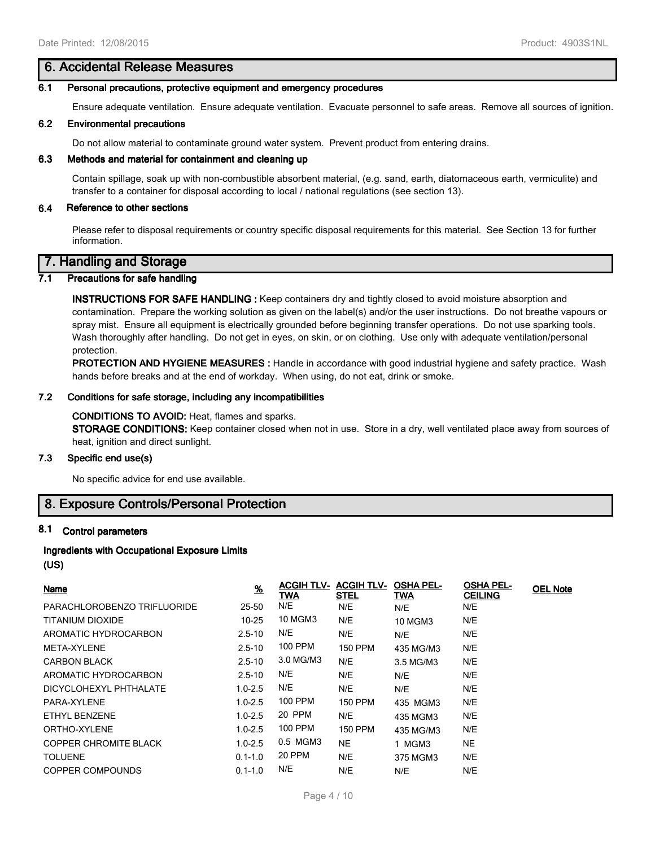## **6. Accidental Release Measures**

#### **6.1 Personal precautions, protective equipment and emergency procedures**

Ensure adequate ventilation. Ensure adequate ventilation. Evacuate personnel to safe areas. Remove all sources of ignition.

#### **6.2 Environmental precautions**

Do not allow material to contaminate ground water system. Prevent product from entering drains.

#### **6.3 Methods and material for containment and cleaning up**

Contain spillage, soak up with non-combustible absorbent material, (e.g. sand, earth, diatomaceous earth, vermiculite) and transfer to a container for disposal according to local / national regulations (see section 13).

#### **6.4 Reference to other sections**

Please refer to disposal requirements or country specific disposal requirements for this material. See Section 13 for further information.

# **7. Handling and Storage**

#### **7.1 Precautions for safe handling**

**INSTRUCTIONS FOR SAFE HANDLING :** Keep containers dry and tightly closed to avoid moisture absorption and contamination. Prepare the working solution as given on the label(s) and/or the user instructions. Do not breathe vapours or spray mist. Ensure all equipment is electrically grounded before beginning transfer operations. Do not use sparking tools. Wash thoroughly after handling. Do not get in eyes, on skin, or on clothing. Use only with adequate ventilation/personal protection.

**PROTECTION AND HYGIENE MEASURES :** Handle in accordance with good industrial hygiene and safety practice. Wash hands before breaks and at the end of workday. When using, do not eat, drink or smoke.

#### **7.2 Conditions for safe storage, including any incompatibilities**

#### **CONDITIONS TO AVOID:** Heat, flames and sparks.

**STORAGE CONDITIONS:** Keep container closed when not in use. Store in a dry, well ventilated place away from sources of heat, ignition and direct sunlight.

## **7.3 Specific end use(s)**

No specific advice for end use available.

## **8. Exposure Controls/Personal Protection**

#### **8.1 Control parameters**

# **Ingredients with Occupational Exposure Limits**

# **(US)**

| Name                         | $\frac{9}{6}$ | <b>ACGIH TLV-</b><br>TWA | <b>ACGIH TLV-</b><br><u>STEL</u> | <b>OSHA PEL-</b><br>TWA | <b>OSHA PEL-</b><br><b>CEILING</b> | <b>OEL Note</b> |
|------------------------------|---------------|--------------------------|----------------------------------|-------------------------|------------------------------------|-----------------|
| PARACHLOROBENZO TRIFLUORIDE  | 25-50         | N/E                      | N/E                              | N/E                     | N/E                                |                 |
| TITANIUM DIOXIDE             | $10 - 25$     | 10 MGM3                  | N/E                              | <b>10 MGM3</b>          | N/E                                |                 |
| AROMATIC HYDROCARBON         | $2.5 - 10$    | N/E                      | N/E                              | N/E                     | N/E                                |                 |
| META-XYLENE                  | $2.5 - 10$    | 100 PPM                  | <b>150 PPM</b>                   | 435 MG/M3               | N/E                                |                 |
| <b>CARBON BLACK</b>          | $2.5 - 10$    | 3.0 MG/M3                | N/E                              | 3.5 MG/M3               | N/E                                |                 |
| AROMATIC HYDROCARBON         | $2.5 - 10$    | N/E                      | N/E                              | N/E                     | N/E                                |                 |
| DICYCLOHEXYL PHTHALATE       | $1.0 - 2.5$   | N/E                      | N/E                              | N/E                     | N/E                                |                 |
| PARA-XYLENE                  | $1.0 - 2.5$   | 100 PPM                  | 150 PPM                          | 435 MGM3                | N/E                                |                 |
| ETHYL BENZENE                | $1.0 - 2.5$   | 20 PPM                   | N/E                              | 435 MGM3                | N/E                                |                 |
| ORTHO-XYLENE                 | $1.0 - 2.5$   | <b>100 PPM</b>           | <b>150 PPM</b>                   | 435 MG/M3               | N/E                                |                 |
| <b>COPPER CHROMITE BLACK</b> | $1.0 - 2.5$   | 0.5 MGM3                 | <b>NE</b>                        | 1 MGM3                  | <b>NE</b>                          |                 |
| <b>TOLUENE</b>               | $0.1 - 1.0$   | 20 PPM                   | N/E                              | 375 MGM3                | N/E                                |                 |
| COPPER COMPOUNDS             | $0.1 - 1.0$   | N/E                      | N/E                              | N/E                     | N/E                                |                 |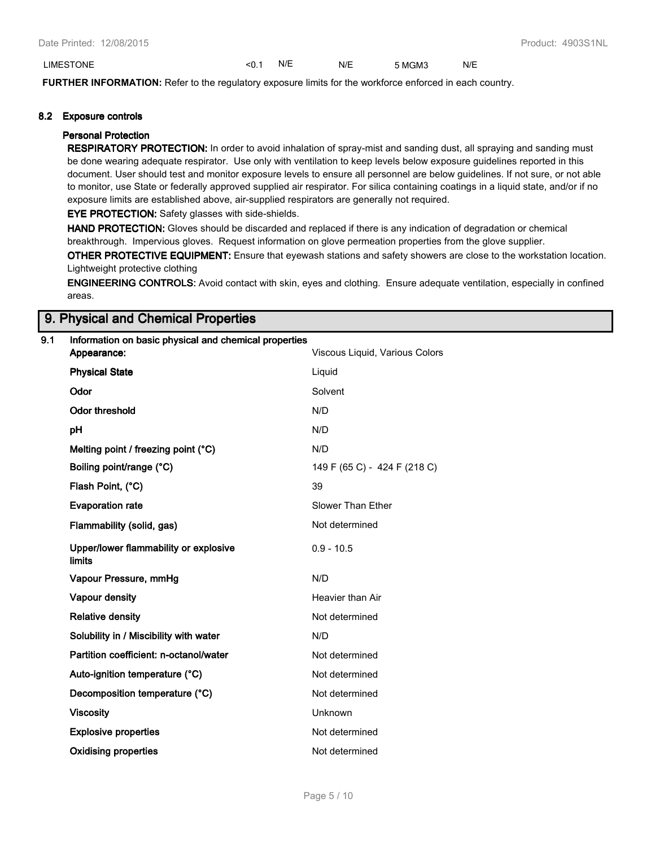#### LIMESTONE <0.1 N/E N/E 5 MGM3 N/E

**FURTHER INFORMATION:** Refer to the regulatory exposure limits for the workforce enforced in each country.

#### **8.2 Exposure controls**

#### **Personal Protection**

**RESPIRATORY PROTECTION:** In order to avoid inhalation of spray-mist and sanding dust, all spraying and sanding must be done wearing adequate respirator. Use only with ventilation to keep levels below exposure guidelines reported in this document. User should test and monitor exposure levels to ensure all personnel are below guidelines. If not sure, or not able to monitor, use State or federally approved supplied air respirator. For silica containing coatings in a liquid state, and/or if no exposure limits are established above, air-supplied respirators are generally not required.

**EYE PROTECTION:** Safety glasses with side-shields.

**HAND PROTECTION:** Gloves should be discarded and replaced if there is any indication of degradation or chemical breakthrough. Impervious gloves. Request information on glove permeation properties from the glove supplier.

**OTHER PROTECTIVE EQUIPMENT:** Ensure that eyewash stations and safety showers are close to the workstation location. Lightweight protective clothing

**ENGINEERING CONTROLS:** Avoid contact with skin, eyes and clothing. Ensure adequate ventilation, especially in confined areas.

# **9. Physical and Chemical Properties**

#### **9.1 Information on basic physical and chemical properties**

| Appearance:                                            | Viscous Liquid, Various Colors |
|--------------------------------------------------------|--------------------------------|
| <b>Physical State</b>                                  | Liquid                         |
| Odor                                                   | Solvent                        |
| <b>Odor threshold</b>                                  | N/D                            |
| pH                                                     | N/D                            |
| Melting point / freezing point (°C)                    | N/D                            |
| Boiling point/range (°C)                               | 149 F (65 C) - 424 F (218 C)   |
| Flash Point, (°C)                                      | 39                             |
| <b>Evaporation rate</b>                                | Slower Than Ether              |
| Flammability (solid, gas)                              | Not determined                 |
| Upper/lower flammability or explosive<br><b>limits</b> | $0.9 - 10.5$                   |
| Vapour Pressure, mmHg                                  | N/D                            |
| Vapour density                                         | Heavier than Air               |
| <b>Relative density</b>                                | Not determined                 |
| Solubility in / Miscibility with water                 | N/D                            |
| Partition coefficient: n-octanol/water                 | Not determined                 |
| Auto-ignition temperature (°C)                         | Not determined                 |
| Decomposition temperature (°C)                         | Not determined                 |
| <b>Viscosity</b>                                       | Unknown                        |
| <b>Explosive properties</b>                            | Not determined                 |
| <b>Oxidising properties</b>                            | Not determined                 |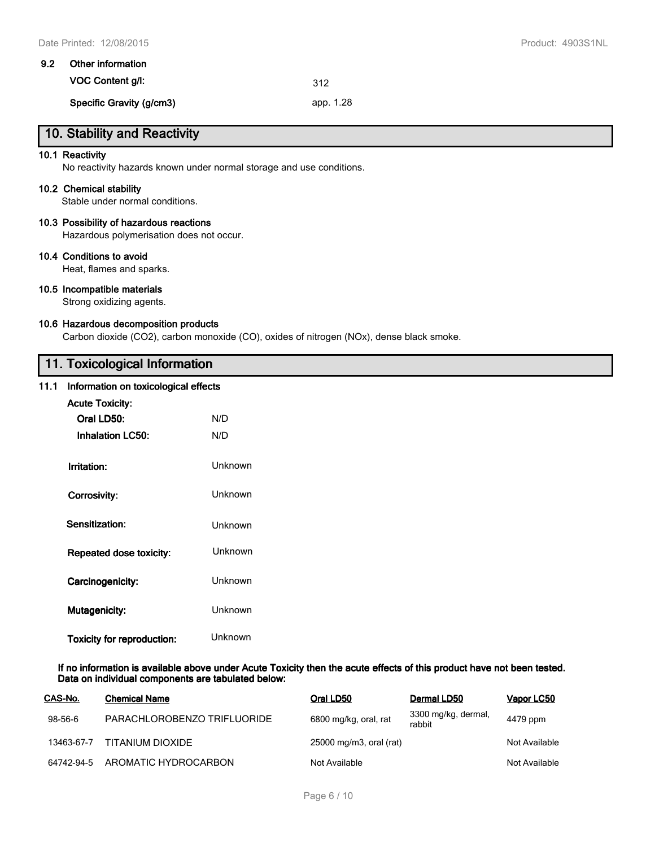| 9.2 | Other information        |           |  |  |
|-----|--------------------------|-----------|--|--|
|     | VOC Content q/l:         | 312       |  |  |
|     | Specific Gravity (g/cm3) | app. 1.28 |  |  |

# **10. Stability and Reactivity**

#### **10.1 Reactivity**

No reactivity hazards known under normal storage and use conditions.

#### **10.2 Chemical stability**

Stable under normal conditions.

#### **10.3 Possibility of hazardous reactions**

Hazardous polymerisation does not occur.

#### **10.4 Conditions to avoid**

Heat, flames and sparks.

#### **10.5 Incompatible materials**

Strong oxidizing agents.

#### **10.6 Hazardous decomposition products**

Carbon dioxide (CO2), carbon monoxide (CO), oxides of nitrogen (NOx), dense black smoke.

# **11. Toxicological Information**

#### **11.1 Information on toxicological effects**

| <b>Acute Toxicity:</b>            |                |
|-----------------------------------|----------------|
| Oral LD50:                        | N/D            |
| <b>Inhalation LC50:</b>           | N/D            |
| Irritation:                       | Unknown        |
| Corrosivity:                      | Unknown        |
| Sensitization:                    | Unknown        |
| Repeated dose toxicity:           | Unknown        |
| Carcinogenicity:                  | <b>Unknown</b> |
| <b>Mutagenicity:</b>              | Unknown        |
| <b>Toxicity for reproduction:</b> | Unknown        |

**If no information is available above under Acute Toxicity then the acute effects of this product have not been tested. Data on individual components are tabulated below:**

| CAS-No.    | <b>Chemical Name</b>        | Oral LD50               | Dermal LD50                   | Vapor LC50    |
|------------|-----------------------------|-------------------------|-------------------------------|---------------|
| 98-56-6    | PARACHLOROBENZO TRIFLUORIDE | 6800 mg/kg, oral, rat   | 3300 mg/kg, dermal,<br>rabbit | 4479 ppm      |
| 13463-67-7 | TITANIUM DIOXIDE            | 25000 mg/m3, oral (rat) |                               | Not Available |
| 64742-94-5 | AROMATIC HYDROCARBON        | Not Available           |                               | Not Available |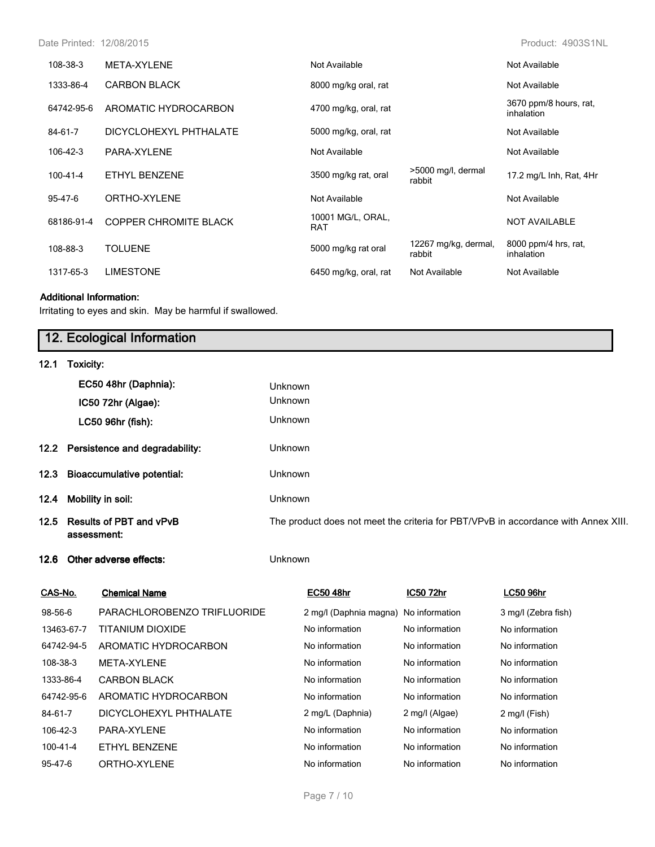Date Printed: 12/08/2015 Product: 4903S1NL

| 108-38-3       | META-XYLENE                  | Not Available            |                                | Not Available                        |
|----------------|------------------------------|--------------------------|--------------------------------|--------------------------------------|
| 1333-86-4      | <b>CARBON BLACK</b>          | 8000 mg/kg oral, rat     |                                | Not Available                        |
| 64742-95-6     | AROMATIC HYDROCARBON         | 4700 mg/kg, oral, rat    |                                | 3670 ppm/8 hours, rat,<br>inhalation |
| 84-61-7        | DICYCLOHEXYL PHTHALATE       | 5000 mg/kg, oral, rat    |                                | Not Available                        |
| 106-42-3       | PARA-XYLENE                  | Not Available            |                                | Not Available                        |
| $100 - 41 - 4$ | ETHYL BENZENE                | 3500 mg/kg rat, oral     | >5000 mg/l, dermal<br>rabbit   | 17.2 mg/L Inh, Rat, 4Hr              |
| 95-47-6        | ORTHO-XYLENE                 | Not Available            |                                | Not Available                        |
| 68186-91-4     | <b>COPPER CHROMITE BLACK</b> | 10001 MG/L, ORAL,<br>RAT |                                | <b>NOT AVAILABLE</b>                 |
| 108-88-3       | <b>TOLUENE</b>               | 5000 mg/kg rat oral      | 12267 mg/kg, dermal,<br>rabbit | 8000 ppm/4 hrs, rat,<br>inhalation   |
| 1317-65-3      | <b>LIMESTONE</b>             | 6450 mg/kg, oral, rat    | Not Available                  | Not Available                        |

#### **Additional Information:**

Irritating to eyes and skin. May be harmful if swallowed.

# **12. Ecological Information 12.1 Toxicity: EC50 48hr (Daphnia):** Unknown **IC50 72hr (Algae):** Unknown **LC50 96hr (fish):** Unknown **12.2 Persistence and degradability:** Unknown **12.3 Bioaccumulative potential:** Unknown **12.4 Mobility in soil:** Unknown **12.5 Results of PBT and vPvB assessment:** The product does not meet the criteria for PBT/VPvB in accordance with Annex XIII. **12.6 Other adverse effects:** Unknown

| CAS-No.    | <b>Chemical Name</b>        | <b>EC50 48hr</b>       | IC50 72hr      | <b>LC50 96hr</b>    |
|------------|-----------------------------|------------------------|----------------|---------------------|
| 98-56-6    | PARACHLOROBENZO TRIFLUORIDE | 2 mg/l (Daphnia magna) | No information | 3 mg/l (Zebra fish) |
| 13463-67-7 | TITANIUM DIOXIDE            | No information         | No information | No information      |
| 64742-94-5 | AROMATIC HYDROCARBON        | No information         | No information | No information      |
| 108-38-3   | <b>MFTA-XYI FNF</b>         | No information         | No information | No information      |
| 1333-86-4  | <b>CARBON BLACK</b>         | No information         | No information | No information      |
| 64742-95-6 | AROMATIC HYDROCARBON        | No information         | No information | No information      |
| 84-61-7    | DICYCLOHEXYL PHTHALATE      | 2 mg/L (Daphnia)       | 2 mg/l (Algae) | 2 mg/l (Fish)       |
| 106-42-3   | PARA-XYI FNF                | No information         | No information | No information      |
| 100-41-4   | FTHYL BENZENE               | No information         | No information | No information      |
| 95-47-6    | ORTHO-XYI FNF               | No information         | No information | No information      |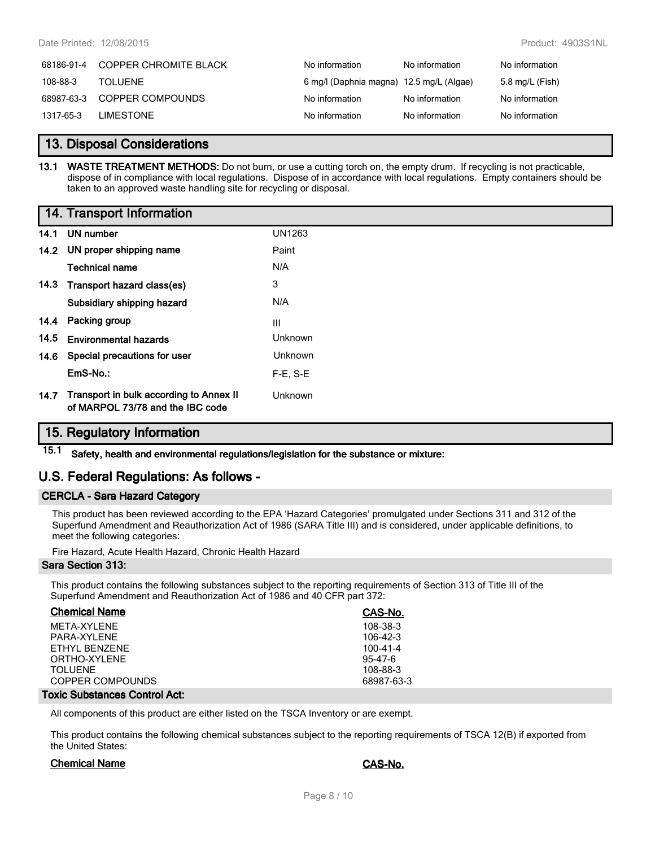| 68186-91-4 | <b>COPPER CHROMITE BLACK</b> | No information                           | No information | No information  |
|------------|------------------------------|------------------------------------------|----------------|-----------------|
| 108-88-3   | TOI UFNE                     | 6 mg/l (Daphnia magna) 12.5 mg/L (Algae) |                | 5.8 mg/L (Fish) |
| 68987-63-3 | COPPER COMPOUNDS             | No information                           | No information | No information  |
| 1317-65-3  | <b>I IMESTONE</b>            | No information                           | No information | No information  |

## **13. Disposal Considerations**

**13.1 WASTE TREATMENT METHODS:** Do not burn, or use a cutting torch on, the empty drum. If recycling is not practicable, dispose of in compliance with local regulations. Dispose of in accordance with local regulations. Empty containers should be taken to an approved waste handling site for recycling or disposal.

#### **14. Transport Information**

|      | 14.1 UN number                                                              | <b>UN1263</b> |
|------|-----------------------------------------------------------------------------|---------------|
|      | 14.2 UN proper shipping name                                                | Paint         |
|      | Technical name                                                              | N/A           |
| 14.3 | Transport hazard class(es)                                                  | 3             |
|      | Subsidiary shipping hazard                                                  | N/A           |
| 14.4 | Packing group                                                               | Ш             |
|      | 14.5 Environmental hazards                                                  | Unknown       |
| 14.6 | Special precautions for user                                                | Unknown       |
|      | $EmS-No.$ :                                                                 | $F-E. S-E$    |
| 14.7 | Transport in bulk according to Annex II<br>of MARPOL 73/78 and the IBC code | Unknown       |

# **15. Regulatory Information**

**15.1 Safety, health and environmental regulations/legislation for the substance or mixture:**

# **U.S. Federal Regulations: As follows -**

#### **CERCLA - Sara Hazard Category**

This product has been reviewed according to the EPA 'Hazard Categories' promulgated under Sections 311 and 312 of the Superfund Amendment and Reauthorization Act of 1986 (SARA Title III) and is considered, under applicable definitions, to meet the following categories:

Fire Hazard, Acute Health Hazard, Chronic Health Hazard

#### **Sara Section 313:**

This product contains the following substances subject to the reporting requirements of Section 313 of Title III of the Superfund Amendment and Reauthorization Act of 1986 and 40 CFR part 372:

| <b>Chemical Name</b> | CAS-No.       |
|----------------------|---------------|
| MFTA-XYI FNF         | 108-38-3      |
| PARA-XYI FNF         | $106-42-3$    |
| FTHYL BENZENE        | 100-41-4      |
| ORTHO-XYI FNF        | $95 - 47 - 6$ |
| TOI UFNE             | 108-88-3      |
| COPPER COMPOUNDS     | 68987-63-3    |
|                      |               |

#### **Toxic Substances Control Act:**

All components of this product are either listed on the TSCA Inventory or are exempt.

This product contains the following chemical substances subject to the reporting requirements of TSCA 12(B) if exported from the United States:

#### **Chemical Name CAS-No.**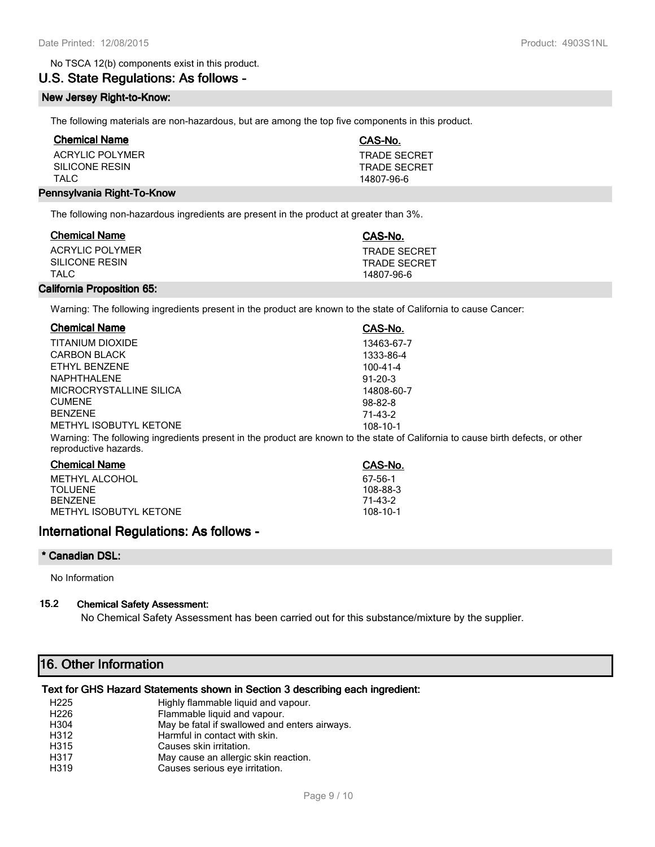#### No TSCA 12(b) components exist in this product.

# **U.S. State Regulations: As follows -**

#### **New Jersey Right-to-Know:**

The following materials are non-hazardous, but are among the top five components in this product.

| <b>Chemical Name</b>       | CAS-No.             |
|----------------------------|---------------------|
| ACRYLIC POLYMER            | <b>TRADE SECRET</b> |
| SILICONE RESIN             | <b>TRADE SECRET</b> |
| TAI C                      | 14807-96-6          |
| Pennsylvania Right-To-Know |                     |

The following non-hazardous ingredients are present in the product at greater than 3%.

| ACRYLIC POLYMER                       | <b>Chemical Name</b> | CAS-No.                             |
|---------------------------------------|----------------------|-------------------------------------|
| SILICONE RESIN<br>TAI C<br>14807-96-6 |                      | <b>TRADE SECRET</b><br>TRADE SECRFT |

#### **California Proposition 65:**

Warning: The following ingredients present in the product are known to the state of California to cause Cancer:

| <b>Chemical Name</b>    | CAS-No.                                                                                                                         |
|-------------------------|---------------------------------------------------------------------------------------------------------------------------------|
| TITANIUM DIOXIDE        | 13463-67-7                                                                                                                      |
| <b>CARBON BLACK</b>     | 1333-86-4                                                                                                                       |
| ETHYL BENZENE           | $100 - 41 - 4$                                                                                                                  |
| NAPHTHAI FNF            | $91 - 20 - 3$                                                                                                                   |
| MICROCRYSTALLINE SILICA | 14808-60-7                                                                                                                      |
| <b>CUMENE</b>           | $98 - 82 - 8$                                                                                                                   |
| <b>BENZENE</b>          | 71-43-2                                                                                                                         |
| METHYL ISOBUTYL KETONE  | 108-10-1                                                                                                                        |
| reproductive hazards.   | Warning: The following ingredients present in the product are known to the state of California to cause birth defects, or other |
| Chamisal Name           | $\sim$ $\sim$ $\sim$                                                                                                            |

| <b>Chemical Name</b>   | CAS-No.  |
|------------------------|----------|
| METHYL ALCOHOL         | 67-56-1  |
| TOI UFNF               | 108-88-3 |
| <b>RENZENE</b>         | 71-43-2  |
| METHYL ISOBUTYL KETONE | 108-10-1 |
|                        |          |

# **International Regulations: As follows -**

#### **\* Canadian DSL:**

No Information

#### **15.2 Chemical Safety Assessment:**

No Chemical Safety Assessment has been carried out for this substance/mixture by the supplier.

# **16. Other Information**

#### **Text for GHS Hazard Statements shown in Section 3 describing each ingredient:**

| H <sub>225</sub> | Highly flammable liquid and vapour.           |
|------------------|-----------------------------------------------|
| H <sub>226</sub> | Flammable liquid and vapour.                  |
| H304             | May be fatal if swallowed and enters airways. |
| H312             | Harmful in contact with skin.                 |
| H315             | Causes skin irritation.                       |
| H317             | May cause an allergic skin reaction.          |
| H319             | Causes serious eye irritation.                |